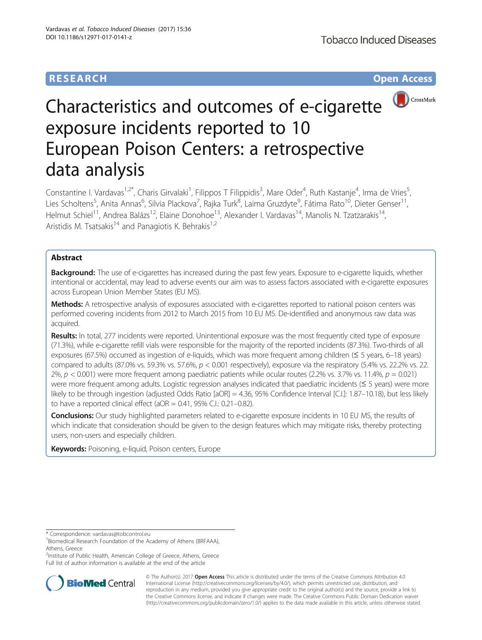## **RESEARCH CHE Open Access**



# Characteristics and outcomes of e-cigarette exposure incidents reported to 10 European Poison Centers: a retrospective data analysis

Constantine I. Vardavas<sup>1,2\*</sup>, Charis Girvalaki<sup>1</sup>, Filippos T Filippidis<sup>3</sup>, Mare Oder<sup>4</sup>, Ruth Kastanje<sup>4</sup>, Irma de Vries<sup>5</sup> , Lies Scholtens<sup>5</sup>, Anita Annas<sup>6</sup>, Silvia Plackova<sup>7</sup>, Rajka Turk<sup>8</sup>, Laima Gruzdyte<sup>9</sup>, Fátima Rato<sup>10</sup>, Dieter Genser<sup>11</sup>, Helmut Schiel<sup>11</sup>, Andrea Balázs<sup>12</sup>, Elaine Donohoe<sup>13</sup>, Alexander I. Vardavas<sup>14</sup>, Manolis N. Tzatzarakis<sup>14</sup>, Aristidis M. Tsatsakis<sup>14</sup> and Panagiotis K. Behrakis<sup>1,2</sup>

## Abstract

Background: The use of e-cigarettes has increased during the past few years. Exposure to e-cigarette liquids, whether intentional or accidental, may lead to adverse events our aim was to assess factors associated with e-cigarette exposures across European Union Member States (EU MS).

Methods: A retrospective analysis of exposures associated with e-cigarettes reported to national poison centers was performed covering incidents from 2012 to March 2015 from 10 EU MS. De-identified and anonymous raw data was acquired.

Results: In total, 277 incidents were reported. Unintentional exposure was the most frequently cited type of exposure (71.3%), while e-cigarette refill vials were responsible for the majority of the reported incidents (87.3%). Two-thirds of all exposures (67.5%) occurred as ingestion of e-liquids, which was more frequent among children (≤ 5 years, 6–18 years) compared to adults (87.0% vs. 59.3% vs. 57.6%,  $p < 0.001$  respectively), exposure via the respiratory (5.4% vs. 22.2% vs. 22. 2%,  $p < 0.001$ ) were more frequent among paediatric patients while ocular routes (2.2% vs. 3.7% vs. 11.4%,  $p = 0.021$ ) were more frequent among adults. Logistic regression analyses indicated that paediatric incidents (≤ 5 years) were more likely to be through ingestion (adjusted Odds Ratio [aOR] = 4.36, 95% Confidence Interval [C.I.]: 1.87–10.18), but less likely to have a reported clinical effect ( $aOR = 0.41$ ,  $95\%$  C.I.:  $0.21 - 0.82$ ).

Conclusions: Our study highlighted parameters related to e-cigarette exposure incidents in 10 EU MS, the results of which indicate that consideration should be given to the design features which may mitigate risks, thereby protecting users, non-users and especially children.

Keywords: Poisoning, e-liquid, Poison centers, Europe

\* Correspondence: [vardavas@tobcontrol.eu](mailto:vardavas@tobcontrol.eu) <sup>1</sup>

<sup>2</sup>Institute of Public Health, American College of Greece, Athens, Greece Full list of author information is available at the end of the article



© The Author(s). 2017 **Open Access** This article is distributed under the terms of the Creative Commons Attribution 4.0 International License [\(http://creativecommons.org/licenses/by/4.0/](http://creativecommons.org/licenses/by/4.0/)), which permits unrestricted use, distribution, and reproduction in any medium, provided you give appropriate credit to the original author(s) and the source, provide a link to the Creative Commons license, and indicate if changes were made. The Creative Commons Public Domain Dedication waiver [\(http://creativecommons.org/publicdomain/zero/1.0/](http://creativecommons.org/publicdomain/zero/1.0/)) applies to the data made available in this article, unless otherwise stated.

<sup>&</sup>lt;sup>1</sup> Biomedical Research Foundation of the Academy of Athens (BRFAAA), Athens, Greece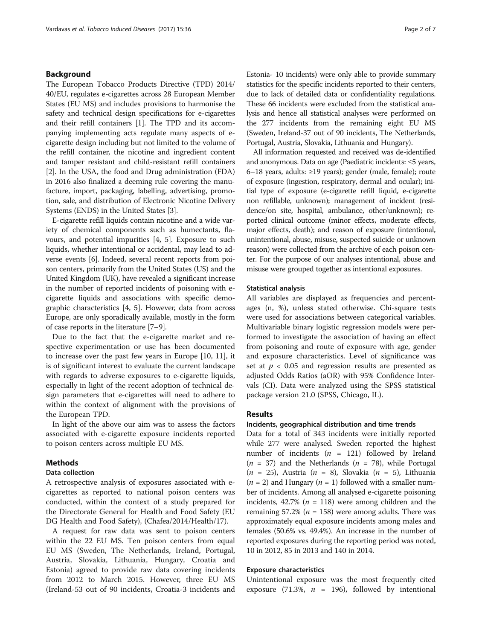## Background

The European Tobacco Products Directive (TPD) 2014/ 40/EU, regulates e-cigarettes across 28 European Member States (EU MS) and includes provisions to harmonise the safety and technical design specifications for e-cigarettes and their refill containers [\[1](#page-6-0)]. The TPD and its accompanying implementing acts regulate many aspects of ecigarette design including but not limited to the volume of the refill container, the nicotine and ingredient content and tamper resistant and child-resistant refill containers [[2\]](#page-6-0). In the USA, the food and Drug administration (FDA) in 2016 also finalized a deeming rule covering the manufacture, import, packaging, labelling, advertising, promotion, sale, and distribution of Electronic Nicotine Delivery Systems (ENDS) in the United States [[3\]](#page-6-0).

E-cigarette refill liquids contain nicotine and a wide variety of chemical components such as humectants, flavours, and potential impurities [\[4](#page-6-0), [5](#page-6-0)]. Exposure to such liquids, whether intentional or accidental, may lead to adverse events [[6\]](#page-6-0). Indeed, several recent reports from poison centers, primarily from the United States (US) and the United Kingdom (UK), have revealed a significant increase in the number of reported incidents of poisoning with ecigarette liquids and associations with specific demographic characteristics [\[4](#page-6-0), [5](#page-6-0)]. However, data from across Europe, are only sporadically available, mostly in the form of case reports in the literature [\[7](#page-6-0)–[9](#page-6-0)].

Due to the fact that the e-cigarette market and respective experimentation or use has been documented to increase over the past few years in Europe [[10, 11](#page-6-0)], it is of significant interest to evaluate the current landscape with regards to adverse exposures to e-cigarette liquids, especially in light of the recent adoption of technical design parameters that e-cigarettes will need to adhere to within the context of alignment with the provisions of the European TPD.

In light of the above our aim was to assess the factors associated with e-cigarette exposure incidents reported to poison centers across multiple EU MS.

## Methods

## Data collection

A retrospective analysis of exposures associated with ecigarettes as reported to national poison centers was conducted, within the context of a study prepared for the Directorate General for Health and Food Safety (EU DG Health and Food Safety), (Chafea/2014/Health/17).

A request for raw data was sent to poison centers within the 22 EU MS. Ten poison centers from equal EU MS (Sweden, The Netherlands, Ireland, Portugal, Austria, Slovakia, Lithuania, Hungary, Croatia and Estonia) agreed to provide raw data covering incidents from 2012 to March 2015. However, three EU MS (Ireland-53 out of 90 incidents, Croatia-3 incidents and Estonia- 10 incidents) were only able to provide summary statistics for the specific incidents reported to their centers, due to lack of detailed data or confidentiality regulations. These 66 incidents were excluded from the statistical analysis and hence all statistical analyses were performed on the 277 incidents from the remaining eight EU MS (Sweden, Ireland-37 out of 90 incidents, The Netherlands, Portugal, Austria, Slovakia, Lithuania and Hungary).

All information requested and received was de-identified and anonymous. Data on age (Paediatric incidents: ≤5 years, 6–18 years, adults: ≥19 years); gender (male, female); route of exposure (ingestion, respiratory, dermal and ocular); initial type of exposure (e-cigarette refill liquid, e-cigarette non refillable, unknown); management of incident (residence/on site, hospital, ambulance, other/unknown); reported clinical outcome (minor effects, moderate effects, major effects, death); and reason of exposure (intentional, unintentional, abuse, misuse, suspected suicide or unknown reason) were collected from the archive of each poison center. For the purpose of our analyses intentional, abuse and misuse were grouped together as intentional exposures.

## Statistical analysis

All variables are displayed as frequencies and percentages (n, %), unless stated otherwise. Chi-square tests were used for associations between categorical variables. Multivariable binary logistic regression models were performed to investigate the association of having an effect from poisoning and route of exposure with age, gender and exposure characteristics. Level of significance was set at  $p < 0.05$  and regression results are presented as adjusted Odds Ratios (aOR) with 95% Confidence Intervals (CI). Data were analyzed using the SPSS statistical package version 21.0 (SPSS, Chicago, IL).

## Results

## Incidents, geographical distribution and time trends

Data for a total of 343 incidents were initially reported while 277 were analysed. Sweden reported the highest number of incidents ( $n = 121$ ) followed by Ireland  $(n = 37)$  and the Netherlands  $(n = 78)$ , while Portugal  $(n = 25)$ , Austria  $(n = 8)$ , Slovakia  $(n = 5)$ , Lithuania  $(n = 2)$  and Hungary  $(n = 1)$  followed with a smaller number of incidents. Among all analysed e-cigarette poisoning incidents, 42.7% ( $n = 118$ ) were among children and the remaining 57.2% ( $n = 158$ ) were among adults. There was approximately equal exposure incidents among males and females (50.6% vs. 49.4%). An increase in the number of reported exposures during the reporting period was noted, 10 in 2012, 85 in 2013 and 140 in 2014.

## Exposure characteristics

Unintentional exposure was the most frequently cited exposure (71.3%,  $n = 196$ ), followed by intentional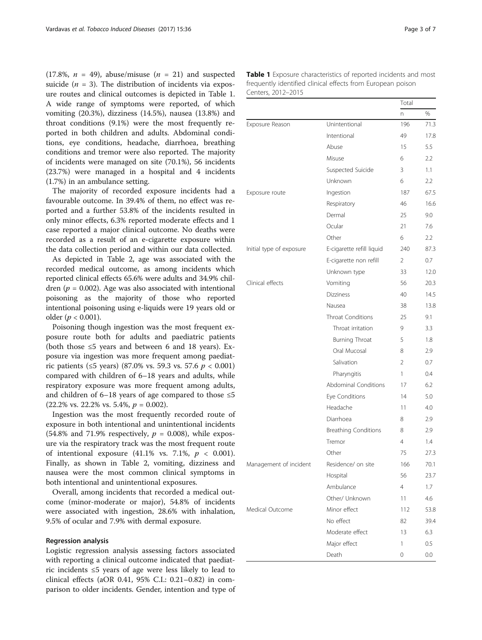(17.8%,  $n = 49$ ), abuse/misuse ( $n = 21$ ) and suspected suicide ( $n = 3$ ). The distribution of incidents via exposure routes and clinical outcomes is depicted in Table 1. A wide range of symptoms were reported, of which vomiting (20.3%), dizziness (14.5%), nausea (13.8%) and throat conditions (9.1%) were the most frequently reported in both children and adults. Abdominal conditions, eye conditions, headache, diarrhoea, breathing conditions and tremor were also reported. The majority of incidents were managed on site (70.1%), 56 incidents (23.7%) were managed in a hospital and 4 incidents (1.7%) in an ambulance setting.

The majority of recorded exposure incidents had a favourable outcome. In 39.4% of them, no effect was reported and a further 53.8% of the incidents resulted in only minor effects, 6.3% reported moderate effects and 1 case reported a major clinical outcome. No deaths were recorded as a result of an e-cigarette exposure within the data collection period and within our data collected.

As depicted in Table [2](#page-3-0), age was associated with the recorded medical outcome, as among incidents which reported clinical effects 65.6% were adults and 34.9% children ( $p = 0.002$ ). Age was also associated with intentional poisoning as the majority of those who reported intentional poisoning using e-liquids were 19 years old or older ( $p < 0.001$ ).

Poisoning though ingestion was the most frequent exposure route both for adults and paediatric patients (both those  $\leq 5$  years and between 6 and 18 years). Exposure via ingestion was more frequent among paediatric patients (≤5 years) (87.0% vs. 59.3 vs. 57.6  $p$  < 0.001) compared with children of 6–18 years and adults, while respiratory exposure was more frequent among adults, and children of 6–18 years of age compared to those  $\leq 5$  $(22.2\% \text{ vs. } 22.2\% \text{ vs. } 5.4\%, p = 0.002).$ 

Ingestion was the most frequently recorded route of exposure in both intentional and unintentional incidents (54.8% and 71.9% respectively,  $p = 0.008$ ), while exposure via the respiratory track was the most frequent route of intentional exposure  $(41.1\% \text{ vs. } 7.1\%, p < 0.001)$ . Finally, as shown in Table [2](#page-3-0), vomiting, dizziness and nausea were the most common clinical symptoms in both intentional and unintentional exposures.

Overall, among incidents that recorded a medical outcome (minor-moderate or major), 54.8% of incidents were associated with ingestion, 28.6% with inhalation, 9.5% of ocular and 7.9% with dermal exposure.

#### Regression analysis

Logistic regression analysis assessing factors associated with reporting a clinical outcome indicated that paediatric incidents ≤5 years of age were less likely to lead to clinical effects (aOR 0.41, 95% C.I.: 0.21–0.82) in comparison to older incidents. Gender, intention and type of

| Table 1 Exposure characteristics of reported incidents and most |
|-----------------------------------------------------------------|
| frequently identified clinical effects from European poison     |
| Centers, 2012–2015                                              |

| %<br>n<br>Unintentional<br>196<br>Exposure Reason<br>Intentional<br>49<br>Abuse<br>15<br>5.5<br>Misuse<br>2.2<br>6<br>Suspected Suicide<br>3<br>1.1<br>Unknown<br>6<br>$2.2\phantom{0}$<br>187<br>Exposure route<br>Ingestion<br>Respiratory<br>46<br>Dermal<br>25<br>9.0<br>Ocular<br>21<br>7.6<br>Other<br>6<br>$2.2\phantom{0}$<br>Initial type of exposure<br>E-cigarette refill liquid<br>240<br>E-cigarette non refill<br>2<br>0.7<br>Unknown type<br>33<br>Clinical effects<br>Vomiting<br>56<br><b>Dizziness</b><br>40<br>Nausea<br>38<br><b>Throat Conditions</b><br>25<br>9.1<br>Throat irritation<br>9<br>3.3<br><b>Burning Throat</b><br>5<br>1.8<br>Oral Mucosal<br>8<br>2.9<br>Salivation<br>2<br>0.7<br>Pharyngitis<br>1<br>0.4<br><b>Abdominal Conditions</b><br>17<br>6.2<br>Eye Conditions<br>5.0<br>14<br>Headache<br>11<br>4.0<br>Diarrhoea<br>8<br>2.9<br><b>Breathing Conditions</b><br>2.9<br>8<br>Tremor<br>4<br>1.4<br>Other<br>75<br>Management of incident<br>Residence/ on site<br>166<br>Hospital<br>56<br>Ambulance<br>$\overline{4}$<br>1.7<br>Other/ Unknown<br>11<br>4.6<br>Minor effect<br>Medical Outcome<br>112<br>No effect<br>82<br>Moderate effect<br>13<br>6.3<br>Major effect<br>1<br>0.5<br>Death<br>0<br>$0.0\,$ |  | Total |      |
|-------------------------------------------------------------------------------------------------------------------------------------------------------------------------------------------------------------------------------------------------------------------------------------------------------------------------------------------------------------------------------------------------------------------------------------------------------------------------------------------------------------------------------------------------------------------------------------------------------------------------------------------------------------------------------------------------------------------------------------------------------------------------------------------------------------------------------------------------------------------------------------------------------------------------------------------------------------------------------------------------------------------------------------------------------------------------------------------------------------------------------------------------------------------------------------------------------------------------------------------------------------|--|-------|------|
|                                                                                                                                                                                                                                                                                                                                                                                                                                                                                                                                                                                                                                                                                                                                                                                                                                                                                                                                                                                                                                                                                                                                                                                                                                                             |  |       |      |
|                                                                                                                                                                                                                                                                                                                                                                                                                                                                                                                                                                                                                                                                                                                                                                                                                                                                                                                                                                                                                                                                                                                                                                                                                                                             |  |       | 71.3 |
|                                                                                                                                                                                                                                                                                                                                                                                                                                                                                                                                                                                                                                                                                                                                                                                                                                                                                                                                                                                                                                                                                                                                                                                                                                                             |  |       | 17.8 |
|                                                                                                                                                                                                                                                                                                                                                                                                                                                                                                                                                                                                                                                                                                                                                                                                                                                                                                                                                                                                                                                                                                                                                                                                                                                             |  |       |      |
|                                                                                                                                                                                                                                                                                                                                                                                                                                                                                                                                                                                                                                                                                                                                                                                                                                                                                                                                                                                                                                                                                                                                                                                                                                                             |  |       |      |
|                                                                                                                                                                                                                                                                                                                                                                                                                                                                                                                                                                                                                                                                                                                                                                                                                                                                                                                                                                                                                                                                                                                                                                                                                                                             |  |       |      |
|                                                                                                                                                                                                                                                                                                                                                                                                                                                                                                                                                                                                                                                                                                                                                                                                                                                                                                                                                                                                                                                                                                                                                                                                                                                             |  |       |      |
|                                                                                                                                                                                                                                                                                                                                                                                                                                                                                                                                                                                                                                                                                                                                                                                                                                                                                                                                                                                                                                                                                                                                                                                                                                                             |  |       | 67.5 |
|                                                                                                                                                                                                                                                                                                                                                                                                                                                                                                                                                                                                                                                                                                                                                                                                                                                                                                                                                                                                                                                                                                                                                                                                                                                             |  |       | 16.6 |
|                                                                                                                                                                                                                                                                                                                                                                                                                                                                                                                                                                                                                                                                                                                                                                                                                                                                                                                                                                                                                                                                                                                                                                                                                                                             |  |       |      |
|                                                                                                                                                                                                                                                                                                                                                                                                                                                                                                                                                                                                                                                                                                                                                                                                                                                                                                                                                                                                                                                                                                                                                                                                                                                             |  |       |      |
|                                                                                                                                                                                                                                                                                                                                                                                                                                                                                                                                                                                                                                                                                                                                                                                                                                                                                                                                                                                                                                                                                                                                                                                                                                                             |  |       |      |
|                                                                                                                                                                                                                                                                                                                                                                                                                                                                                                                                                                                                                                                                                                                                                                                                                                                                                                                                                                                                                                                                                                                                                                                                                                                             |  |       | 87.3 |
|                                                                                                                                                                                                                                                                                                                                                                                                                                                                                                                                                                                                                                                                                                                                                                                                                                                                                                                                                                                                                                                                                                                                                                                                                                                             |  |       |      |
|                                                                                                                                                                                                                                                                                                                                                                                                                                                                                                                                                                                                                                                                                                                                                                                                                                                                                                                                                                                                                                                                                                                                                                                                                                                             |  |       | 12.0 |
|                                                                                                                                                                                                                                                                                                                                                                                                                                                                                                                                                                                                                                                                                                                                                                                                                                                                                                                                                                                                                                                                                                                                                                                                                                                             |  |       | 20.3 |
|                                                                                                                                                                                                                                                                                                                                                                                                                                                                                                                                                                                                                                                                                                                                                                                                                                                                                                                                                                                                                                                                                                                                                                                                                                                             |  |       | 14.5 |
|                                                                                                                                                                                                                                                                                                                                                                                                                                                                                                                                                                                                                                                                                                                                                                                                                                                                                                                                                                                                                                                                                                                                                                                                                                                             |  |       | 13.8 |
|                                                                                                                                                                                                                                                                                                                                                                                                                                                                                                                                                                                                                                                                                                                                                                                                                                                                                                                                                                                                                                                                                                                                                                                                                                                             |  |       |      |
|                                                                                                                                                                                                                                                                                                                                                                                                                                                                                                                                                                                                                                                                                                                                                                                                                                                                                                                                                                                                                                                                                                                                                                                                                                                             |  |       |      |
|                                                                                                                                                                                                                                                                                                                                                                                                                                                                                                                                                                                                                                                                                                                                                                                                                                                                                                                                                                                                                                                                                                                                                                                                                                                             |  |       |      |
|                                                                                                                                                                                                                                                                                                                                                                                                                                                                                                                                                                                                                                                                                                                                                                                                                                                                                                                                                                                                                                                                                                                                                                                                                                                             |  |       |      |
|                                                                                                                                                                                                                                                                                                                                                                                                                                                                                                                                                                                                                                                                                                                                                                                                                                                                                                                                                                                                                                                                                                                                                                                                                                                             |  |       |      |
|                                                                                                                                                                                                                                                                                                                                                                                                                                                                                                                                                                                                                                                                                                                                                                                                                                                                                                                                                                                                                                                                                                                                                                                                                                                             |  |       |      |
|                                                                                                                                                                                                                                                                                                                                                                                                                                                                                                                                                                                                                                                                                                                                                                                                                                                                                                                                                                                                                                                                                                                                                                                                                                                             |  |       |      |
|                                                                                                                                                                                                                                                                                                                                                                                                                                                                                                                                                                                                                                                                                                                                                                                                                                                                                                                                                                                                                                                                                                                                                                                                                                                             |  |       |      |
|                                                                                                                                                                                                                                                                                                                                                                                                                                                                                                                                                                                                                                                                                                                                                                                                                                                                                                                                                                                                                                                                                                                                                                                                                                                             |  |       |      |
|                                                                                                                                                                                                                                                                                                                                                                                                                                                                                                                                                                                                                                                                                                                                                                                                                                                                                                                                                                                                                                                                                                                                                                                                                                                             |  |       |      |
|                                                                                                                                                                                                                                                                                                                                                                                                                                                                                                                                                                                                                                                                                                                                                                                                                                                                                                                                                                                                                                                                                                                                                                                                                                                             |  |       |      |
|                                                                                                                                                                                                                                                                                                                                                                                                                                                                                                                                                                                                                                                                                                                                                                                                                                                                                                                                                                                                                                                                                                                                                                                                                                                             |  |       |      |
|                                                                                                                                                                                                                                                                                                                                                                                                                                                                                                                                                                                                                                                                                                                                                                                                                                                                                                                                                                                                                                                                                                                                                                                                                                                             |  |       | 27.3 |
|                                                                                                                                                                                                                                                                                                                                                                                                                                                                                                                                                                                                                                                                                                                                                                                                                                                                                                                                                                                                                                                                                                                                                                                                                                                             |  |       | 70.1 |
|                                                                                                                                                                                                                                                                                                                                                                                                                                                                                                                                                                                                                                                                                                                                                                                                                                                                                                                                                                                                                                                                                                                                                                                                                                                             |  |       | 23.7 |
|                                                                                                                                                                                                                                                                                                                                                                                                                                                                                                                                                                                                                                                                                                                                                                                                                                                                                                                                                                                                                                                                                                                                                                                                                                                             |  |       |      |
|                                                                                                                                                                                                                                                                                                                                                                                                                                                                                                                                                                                                                                                                                                                                                                                                                                                                                                                                                                                                                                                                                                                                                                                                                                                             |  |       |      |
|                                                                                                                                                                                                                                                                                                                                                                                                                                                                                                                                                                                                                                                                                                                                                                                                                                                                                                                                                                                                                                                                                                                                                                                                                                                             |  |       | 53.8 |
|                                                                                                                                                                                                                                                                                                                                                                                                                                                                                                                                                                                                                                                                                                                                                                                                                                                                                                                                                                                                                                                                                                                                                                                                                                                             |  |       | 39.4 |
|                                                                                                                                                                                                                                                                                                                                                                                                                                                                                                                                                                                                                                                                                                                                                                                                                                                                                                                                                                                                                                                                                                                                                                                                                                                             |  |       |      |
|                                                                                                                                                                                                                                                                                                                                                                                                                                                                                                                                                                                                                                                                                                                                                                                                                                                                                                                                                                                                                                                                                                                                                                                                                                                             |  |       |      |
|                                                                                                                                                                                                                                                                                                                                                                                                                                                                                                                                                                                                                                                                                                                                                                                                                                                                                                                                                                                                                                                                                                                                                                                                                                                             |  |       |      |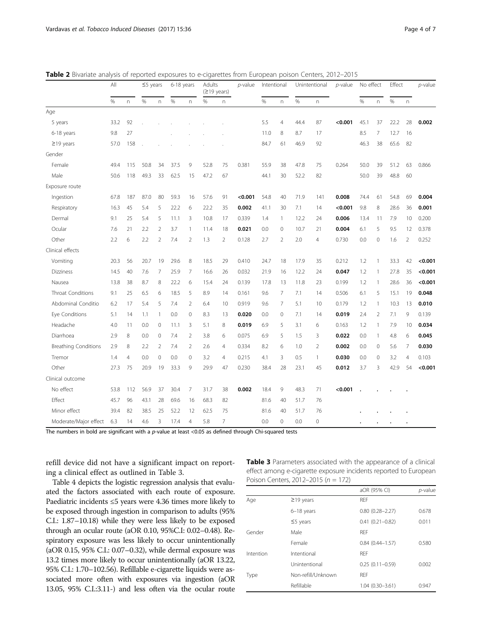<span id="page-3-0"></span>

| <b>Table 2</b> Bivariate analysis of reported exposures to e-cigarettes from European poison Centers, 2012–2015 |  |  |  |
|-----------------------------------------------------------------------------------------------------------------|--|--|--|
|                                                                                                                 |  |  |  |

|                             | All  | $\leq$ 5 years |      |                |      |                | 6-18 years |                | Adults<br>(≥19 years) |      | p-value        | Intentional |                |         | Unintentional | p-value      | No effect |                | Effect  |  | p-value |
|-----------------------------|------|----------------|------|----------------|------|----------------|------------|----------------|-----------------------|------|----------------|-------------|----------------|---------|---------------|--------------|-----------|----------------|---------|--|---------|
|                             | $\%$ | n              | %    | n.             | $\%$ | n.             | %          | n              |                       | $\%$ | n              | %           | n              |         | $\%$          | n            | %<br>n    |                |         |  |         |
| Age                         |      |                |      |                |      |                |            |                |                       |      |                |             |                |         |               |              |           |                |         |  |         |
| 5 years                     | 33.2 | 92             |      |                |      |                |            |                |                       | 5.5  | $\overline{4}$ | 44.4        | 87             | < 0.001 | 45.1          | 37           | 22.2      | 28             | 0.002   |  |         |
| 6-18 years                  | 9.8  | 27             |      |                |      |                |            |                |                       | 11.0 | 8              | 8.7         | 17             |         | 8.5           | 7            | 12.7      | 16             |         |  |         |
| $\geq$ 19 years             | 57.0 | 158            |      |                |      |                |            |                |                       | 84.7 | 61             | 46.9        | 92             |         | 46.3          | 38           | 65.6      | 82             |         |  |         |
| Gender                      |      |                |      |                |      |                |            |                |                       |      |                |             |                |         |               |              |           |                |         |  |         |
| Female                      | 49.4 | 115            | 50.8 | 34             | 37.5 | 9              | 52.8       | 75             | 0.381                 | 55.9 | 38             | 47.8        | 75             | 0.264   | 50.0          | 39           | 51.2      | 63             | 0.866   |  |         |
| Male                        | 50.6 | 118            | 49.3 | 33             | 62.5 | 15             | 47.2       | 67             |                       | 44.1 | 30             | 52.2        | 82             |         | 50.0          | 39           | 48.8      | 60             |         |  |         |
| Exposure route              |      |                |      |                |      |                |            |                |                       |      |                |             |                |         |               |              |           |                |         |  |         |
| Ingestion                   | 67.8 | 187            | 87.0 | 80             | 59.3 | 16             | 57.6       | 91             | < 0.001               | 54.8 | 40             | 71.9        | 141            | 0.008   | 74.4          | 61           | 54.8      | 69             | 0.004   |  |         |
| Respiratory                 | 16.3 | 45             | 5.4  | 5              | 22.2 | 6              | 22.2       | 35             | 0.002                 | 41.1 | 30             | 7.1         | 14             | <0.001  | 9.8           | 8            | 28.6      | 36             | 0.001   |  |         |
| Dermal                      | 9.1  | 25             | 5.4  | 5              | 11.1 | 3              | 10.8       | 17             | 0.339                 | 1.4  | $\mathbf{1}$   | 12.2        | 24             | 0.006   | 13.4          | 11           | 7.9       | 10             | 0.200   |  |         |
| Ocular                      | 7.6  | 21             | 2.2  | $\overline{2}$ | 3.7  | $\mathbf{1}$   | 11.4       | 18             | 0.021                 | 0.0  | $\mathbf{0}$   | 10.7        | 21             | 0.004   | 6.1           | 5            | 9.5       | 12             | 0.378   |  |         |
| Other                       | 2.2  | 6              | 2.2  | $\overline{2}$ | 7.4  | $\overline{2}$ | 1.3        | $\overline{2}$ | 0.128                 | 2.7  | $\overline{2}$ | 2.0         | $\overline{4}$ | 0.730   | 0.0           | $\mathbf 0$  | 1.6       | $\overline{2}$ | 0.252   |  |         |
| Clinical effects            |      |                |      |                |      |                |            |                |                       |      |                |             |                |         |               |              |           |                |         |  |         |
| Vomiting                    | 20.3 | 56             | 20.7 | 19             | 29.6 | 8              | 18.5       | 29             | 0.410                 | 24.7 | 18             | 17.9        | 35             | 0.212   | 1.2           |              | 33.3      | 42             | < 0.001 |  |         |
| Dizziness                   | 14.5 | 40             | 7.6  | 7              | 25.9 | $\overline{7}$ | 16.6       | 26             | 0.032                 | 21.9 | 16             | 12.2        | 24             | 0.047   | 1.2           | $\mathbf{1}$ | 27.8      | 35             | < 0.001 |  |         |
| Nausea                      | 13.8 | 38             | 8.7  | 8              | 22.2 | 6              | 15.4       | 24             | 0.139                 | 17.8 | 13             | 11.8        | 23             | 0.199   | 1.2           | 1            | 28.6      | 36             | < 0.001 |  |         |
| <b>Throat Conditions</b>    | 9.1  | 25             | 6.5  | 6              | 18.5 | 5              | 8.9        | 14             | 0.161                 | 9.6  | $\overline{7}$ | 7.1         | 14             | 0.506   | 6.1           | 5            | 15.1      | 19             | 0.048   |  |         |
| Abdominal Conditio          | 6.2  | 17             | 5.4  | 5              | 7.4  | $\overline{2}$ | 6.4        | 10             | 0.919                 | 9.6  | 7              | 5.1         | 10             | 0.179   | 1.2           | $\mathbf{1}$ | 10.3      | 13             | 0.010   |  |         |
| Eye Conditions              | 5.1  | 14             | 1.1  | $\mathbf{1}$   | 0.0  | $\mathbf{0}$   | 8.3        | 13             | 0.020                 | 0.0  | $\mathbf{0}$   | 7.1         | 14             | 0.019   | 2.4           | 2            | 7.1       | 9              | 0.139   |  |         |
| Headache                    | 4.0  | 11             | 0.0  | $\mathbb O$    | 11.1 | 3              | 5.1        | 8              | 0.019                 | 6.9  | 5              | 3.1         | 6              | 0.163   | 1.2           | 1            | 7.9       | 10             | 0.034   |  |         |
| Diarrhoea                   | 2.9  | 8              | 0.0  | $\mathbb O$    | 7.4  | $\overline{2}$ | 3.8        | 6              | 0.075                 | 6.9  | 5              | 1.5         | 3              | 0.022   | 0.0           |              | 4.8       | 6              | 0.045   |  |         |
| <b>Breathing Conditions</b> | 2.9  | 8              | 2.2  | $\overline{2}$ | 7.4  | $\overline{2}$ | 2.6        | $\overline{4}$ | 0.334                 | 8.2  | 6              | 1.0         | $\overline{2}$ | 0.002   | 0.0           | $\circ$      | 5.6       | 7              | 0.030   |  |         |
| Tremor                      | 1.4  | $\overline{4}$ | 0.0  | $\mathbf 0$    | 0.0  | $\mathbf{0}$   | 3.2        | $\overline{4}$ | 0.215                 | 4.1  | 3              | 0.5         | $\mathbf{1}$   | 0.030   | 0.0           | $\circ$      | 3.2       | $\overline{4}$ | 0.103   |  |         |
| Other                       | 27.3 | 75             | 20.9 | 19             | 33.3 | 9              | 29.9       | 47             | 0.230                 | 38.4 | 28             | 23.1        | 45             | 0.012   | 3.7           | 3            | 42.9      | 54             | < 0.001 |  |         |
| Clinical outcome            |      |                |      |                |      |                |            |                |                       |      |                |             |                |         |               |              |           |                |         |  |         |
| No effect                   | 53.8 | 112            | 56.9 | 37             | 30.4 | 7              | 31.7       | 38             | 0.002                 | 18.4 | 9              | 48.3        | 71             | < 0.001 |               |              |           |                |         |  |         |
| Effect                      | 45.7 | 96             | 43.1 | 28             | 69.6 | 16             | 68.3       | 82             |                       | 81.6 | 40             | 51.7        | 76             |         |               |              |           |                |         |  |         |
| Minor effect                | 39.4 | 82             | 38.5 | 25             | 52.2 | 12             | 62.5       | 75             |                       | 81.6 | 40             | 51.7        | 76             |         |               |              |           |                |         |  |         |
| Moderate/Major effect       | 6.3  | 14             | 4.6  | 3              | 17.4 | $\overline{4}$ | 5.8        | 7              |                       | 0.0  | $\mathbf{0}$   | 0.0         | 0              |         |               |              |           |                |         |  |         |

The numbers in bold are significant with a  $p$ -value at least <0.05 as defined through Chi-squared tests

refill device did not have a significant impact on reporting a clinical effect as outlined in Table 3.

Table 3 Parameters associated with the appearance of a clinical effect among e-cigarette exposure incidents reported to European Poison Centers, 2012–2015  $(n = 172)$ 

Table [4](#page-4-0) depicts the logistic regression analysis that evaluated the factors associated with each route of exposure. Paediatric incidents ≤5 years were 4.36 times more likely to be exposed through ingestion in comparison to adults (95% C.I.: 1.87–10.18) while they were less likely to be exposed through an ocular route (aOR 0.10, 95%C.I: 0.02–0.48). Respiratory exposure was less likely to occur unintentionally (aOR 0.15, 95% C.I.: 0.07–0.32), while dermal exposure was 13.2 times more likely to occur unintentionally (aOR 13.22, 95% C.I.: 1.70–102.56). Refillable e-cigarette liquids were associated more often with exposures via ingestion (aOR 13.05, 95% C.I.:3.11-) and less often via the ocular route

|           | 1.01               |                     |         |
|-----------|--------------------|---------------------|---------|
|           |                    | aOR (95% CI)        | p-value |
| Age       | $\geq$ 19 years    | <b>RFF</b>          |         |
|           | $6-18$ years       | $0.80(0.28 - 2.27)$ | 0.678   |
|           | $\leq$ years       | $0.41(0.21 - 0.82)$ | 0.011   |
| Gender    | Male               | RFF                 |         |
|           | Female             | $0.84(0.44 - 1.57)$ | 0.580   |
| Intention | Intentional        | <b>RFF</b>          |         |
|           | Unintentional      | $0.25(0.11 - 0.59)$ | 0.002   |
| Type      | Non-refill/Unknown | RFF                 |         |
|           | Refillable         | $1.04(0.30 - 3.61)$ | 0.947   |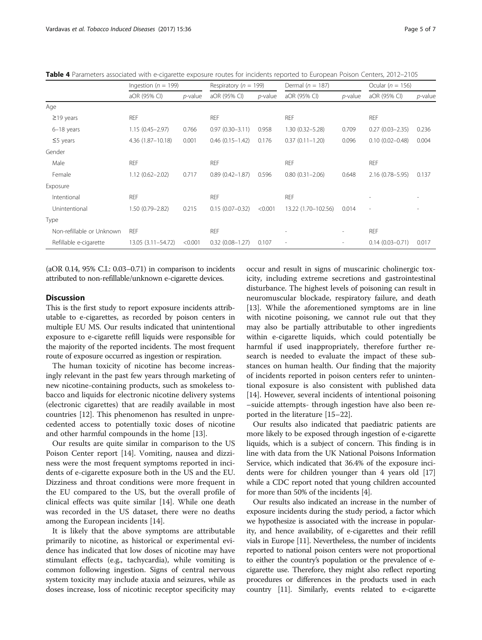|                           | Ingestion ( $n = 199$ ) |            | Respiratory ( $n = 199$ ) |            | Dermal $(n = 187)$       |            | Ocular ( $n = 156$ ) |            |  |
|---------------------------|-------------------------|------------|---------------------------|------------|--------------------------|------------|----------------------|------------|--|
|                           | aOR (95% CI)            | $p$ -value | aOR (95% CI)              | $p$ -value | aOR (95% CI)             | $p$ -value | aOR (95% CI)         | $p$ -value |  |
| Age                       |                         |            |                           |            |                          |            |                      |            |  |
| $\geq$ 19 years           | <b>REF</b>              |            | <b>REF</b>                |            | <b>REF</b>               |            | <b>REF</b>           |            |  |
| $6-18$ years              | $1.15(0.45 - 2.97)$     | 0.766      | $0.97(0.30 - 3.11)$       | 0.958      | $1.30(0.32 - 5.28)$      | 0.709      | $0.27(0.03 - 2.35)$  | 0.236      |  |
| $\leq$ 5 years            | 4.36 (1.87-10.18)       | 0.001      | $0.46(0.15 - 1.42)$       | 0.176      | $0.37(0.11 - 1.20)$      | 0.096      | $0.10(0.02 - 0.48)$  | 0.004      |  |
| Gender                    |                         |            |                           |            |                          |            |                      |            |  |
| Male                      | <b>REF</b>              |            | <b>REF</b>                |            | <b>REF</b>               |            | <b>REF</b>           |            |  |
| Female                    | $1.12(0.62 - 2.02)$     | 0.717      | $0.89(0.42 - 1.87)$       | 0.596      | $0.80(0.31 - 2.06)$      | 0.648      | $2.16(0.78 - 5.95)$  | 0.137      |  |
| Exposure                  |                         |            |                           |            |                          |            |                      |            |  |
| Intentional               | <b>REF</b>              |            | <b>REF</b>                |            | <b>REF</b>               |            |                      |            |  |
| Unintentional             | 1.50 (0.79 - 2.82)      | 0.215      | $0.15(0.07 - 0.32)$       | < 0.001    | 13.22 (1.70-102.56)      | 0.014      | $\qquad \qquad$      |            |  |
| Type                      |                         |            |                           |            |                          |            |                      |            |  |
| Non-refillable or Unknown | REF                     |            | <b>REF</b>                |            |                          |            | <b>REF</b>           |            |  |
| Refillable e-cigarette    | 13.05 (3.11-54.72)      | < 0.001    | $0.32(0.08 - 1.27)$       | 0.107      | $\overline{\phantom{a}}$ |            | $0.14(0.03 - 0.71)$  | 0.017      |  |

<span id="page-4-0"></span>Table 4 Parameters associated with e-cigarette exposure routes for incidents reported to European Poison Centers, 2012-2105

(aOR 0.14, 95% C.I.: 0.03–0.71) in comparison to incidents attributed to non-refillable/unknown e-cigarette devices.

## **Discussion**

This is the first study to report exposure incidents attributable to e-cigarettes, as recorded by poison centers in multiple EU MS. Our results indicated that unintentional exposure to e-cigarette refill liquids were responsible for the majority of the reported incidents. The most frequent route of exposure occurred as ingestion or respiration.

The human toxicity of nicotine has become increasingly relevant in the past few years through marketing of new nicotine-containing products, such as smokeless tobacco and liquids for electronic nicotine delivery systems (electronic cigarettes) that are readily available in most countries [\[12\]](#page-6-0). This phenomenon has resulted in unprecedented access to potentially toxic doses of nicotine and other harmful compounds in the home [\[13\]](#page-6-0).

Our results are quite similar in comparison to the US Poison Center report [[14\]](#page-6-0). Vomiting, nausea and dizziness were the most frequent symptoms reported in incidents of e-cigarette exposure both in the US and the EU. Dizziness and throat conditions were more frequent in the EU compared to the US, but the overall profile of clinical effects was quite similar [\[14\]](#page-6-0). While one death was recorded in the US dataset, there were no deaths among the European incidents [\[14](#page-6-0)].

It is likely that the above symptoms are attributable primarily to nicotine, as historical or experimental evidence has indicated that low doses of nicotine may have stimulant effects (e.g., tachycardia), while vomiting is common following ingestion. Signs of central nervous system toxicity may include ataxia and seizures, while as doses increase, loss of nicotinic receptor specificity may

occur and result in signs of muscarinic cholinergic toxicity, including extreme secretions and gastrointestinal disturbance. The highest levels of poisoning can result in neuromuscular blockade, respiratory failure, and death [[13\]](#page-6-0). While the aforementioned symptoms are in line with nicotine poisoning, we cannot rule out that they may also be partially attributable to other ingredients within e-cigarette liquids, which could potentially be harmful if used inappropriately, therefore further research is needed to evaluate the impact of these substances on human health. Our finding that the majority of incidents reported in poison centers refer to unintentional exposure is also consistent with published data [[14\]](#page-6-0). However, several incidents of intentional poisoning –suicide attempts- through ingestion have also been reported in the literature [[15](#page-6-0)–[22](#page-6-0)].

Our results also indicated that paediatric patients are more likely to be exposed through ingestion of e-cigarette liquids, which is a subject of concern. This finding is in line with data from the UK National Poisons Information Service, which indicated that 36.4% of the exposure incidents were for children younger than 4 years old [[17](#page-6-0)] while a CDC report noted that young children accounted for more than 50% of the incidents [[4\]](#page-6-0).

Our results also indicated an increase in the number of exposure incidents during the study period, a factor which we hypothesize is associated with the increase in popularity, and hence availability, of e-cigarettes and their refill vials in Europe [[11](#page-6-0)]. Nevertheless, the number of incidents reported to national poison centers were not proportional to either the country's population or the prevalence of ecigarette use. Therefore, they might also reflect reporting procedures or differences in the products used in each country [\[11\]](#page-6-0). Similarly, events related to e-cigarette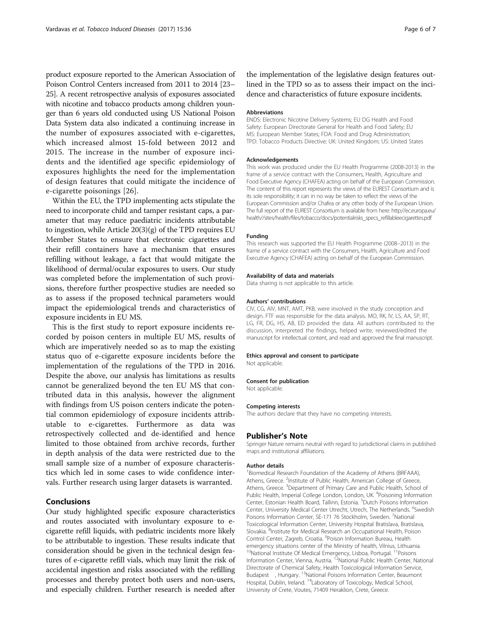product exposure reported to the American Association of Poison Control Centers increased from 2011 to 2014 [\[23](#page-6-0)– [25](#page-6-0)]. A recent retrospective analysis of exposures associated with nicotine and tobacco products among children younger than 6 years old conducted using US National Poison Data System data also indicated a continuing increase in the number of exposures associated with e-cigarettes, which increased almost 15-fold between 2012 and 2015. The increase in the number of exposure incidents and the identified age specific epidemiology of exposures highlights the need for the implementation of design features that could mitigate the incidence of e-cigarette poisonings [[26\]](#page-6-0).

Within the EU, the TPD implementing acts stipulate the need to incorporate child and tamper resistant caps, a parameter that may reduce paediatric incidents attributable to ingestion, while Article  $20(3)(g)$  of the TPD requires EU Member States to ensure that electronic cigarettes and their refill containers have a mechanism that ensures refilling without leakage, a fact that would mitigate the likelihood of dermal/ocular exposures to users. Our study was completed before the implementation of such provisions, therefore further prospective studies are needed so as to assess if the proposed technical parameters would impact the epidemiological trends and characteristics of exposure incidents in EU MS.

This is the first study to report exposure incidents recorded by poison centers in multiple EU MS, results of which are imperatively needed so as to map the existing status quo of e-cigarette exposure incidents before the implementation of the regulations of the TPD in 2016. Despite the above, our analysis has limitations as results cannot be generalized beyond the ten EU MS that contributed data in this analysis, however the alignment with findings from US poison centers indicate the potential common epidemiology of exposure incidents attributable to e-cigarettes. Furthermore as data was retrospectively collected and de-identified and hence limited to those obtained from archive records, further in depth analysis of the data were restricted due to the small sample size of a number of exposure characteristics which led in some cases to wide confidence intervals. Further research using larger datasets is warranted.

## Conclusions

Our study highlighted specific exposure characteristics and routes associated with involuntary exposure to ecigarette refill liquids, with pediatric incidents more likely to be attributable to ingestion. These results indicate that consideration should be given in the technical design features of e-cigarette refill vials, which may limit the risk of accidental ingestion and risks associated with the refilling processes and thereby protect both users and non-users, and especially children. Further research is needed after

the implementation of the legislative design features outlined in the TPD so as to assess their impact on the incidence and characteristics of future exposure incidents.

#### Abbreviations

ENDS: Electronic Nicotine Delivery Systems; EU DG Health and Food Safety: European Directorate General for Health and Food Safety; EU MS: European Member States; FDA: Food and Drug Administration; TPD: Tobacco Products Directive; UK: United Kingdom; US: United States

#### Acknowledgements

This work was produced under the EU Health Programme (2008-2013) in the frame of a service contract with the Consumers, Health, Agriculture and Food Executive Agency (CHAFEA) acting on behalf of the European Commission. The content of this report represents the views of the EUREST Consortium and is its sole responsibility; it can in no way be taken to reflect the views of the European Commission and/or Chafea or any other body of the European Union. The full report of the EUREST Consortium is available from here: [http://ec.europa.eu/](http://ec.europa.eu/health//sites/health/files/tobacco/docs/potentialrisks_specs_refillableecigarettes.pdf) [health//sites/health/files/tobacco/docs/potentialrisks\\_specs\\_refillableecigarettes.pdf](http://ec.europa.eu/health//sites/health/files/tobacco/docs/potentialrisks_specs_refillableecigarettes.pdf)

#### Funding

This research was supported the EU Health Programme (2008–2013) in the frame of a service contract with the Consumers, Health, Agriculture and Food Executive Agency (CHAFEA) acting on behalf of the European Commission.

#### Availability of data and materials

Data sharing is not applicable to this article.

#### Authors' contributions

CIV, CG, AIV, MNT, AMT, PKB, were involved in the study conception and design. FTF was responsible for the data analysis. MO, RK, IV, LS, AA, SP, RT, LG, FR, DG, HS, AB, ED provided the data. All authors contributed to the discussion, interpreted the findings, helped write, reviewed/edited the manuscript for intellectual content, and read and approved the final manuscript.

#### Ethics approval and consent to participate

Not applicable.

#### Consent for publication

Not applicable.

#### Competing interests

The authors declare that they have no competing interests.

#### Publisher's Note

Springer Nature remains neutral with regard to jurisdictional claims in published maps and institutional affiliations.

#### Author details

<sup>1</sup> Biomedical Research Foundation of the Academy of Athens (BRFAAA) Athens, Greece. <sup>2</sup>Institute of Public Health, American College of Greece Athens, Greece. <sup>3</sup>Department of Primary Care and Public Health, School of Public Health, Imperial College London, London, UK. <sup>4</sup>Poisoning Information Center, Estonian Health Board, Tallinn, Estonia. <sup>5</sup>Dutch Poisons Information Center, University Medical Center Utrecht, Utrech, The Netherlands. <sup>6</sup>Swedish Poisons Information Center, SE-171 76 Stockholm, Sweden. <sup>7</sup>National Toxicological Information Center, University Hospital Bratislava, Bratislava, Slovakia.<sup>8</sup>Institute for Medical Research an Occupational Health, Poison Control Center, Zagreb, Croatia. <sup>9</sup>Poison Information Bureau, Health emergency situations center of the Ministry of health, Vilnius, Lithuania. <sup>10</sup>National Institute Of Medical Emergency, Lisboa, Portugal. <sup>11</sup>Poisons Information Center, Vienna, Austria. 12National Public Health Center, National Directorate of Chemical Safety, Health Toxicological Information Service, Budapest , Hungary. 13National Poisons Information Center, Beaumont Hospital, Dublin, Ireland. 14Laboratory of Toxicology, Medical School, University of Crete, Voutes, 71409 Heraklion, Crete, Greece.